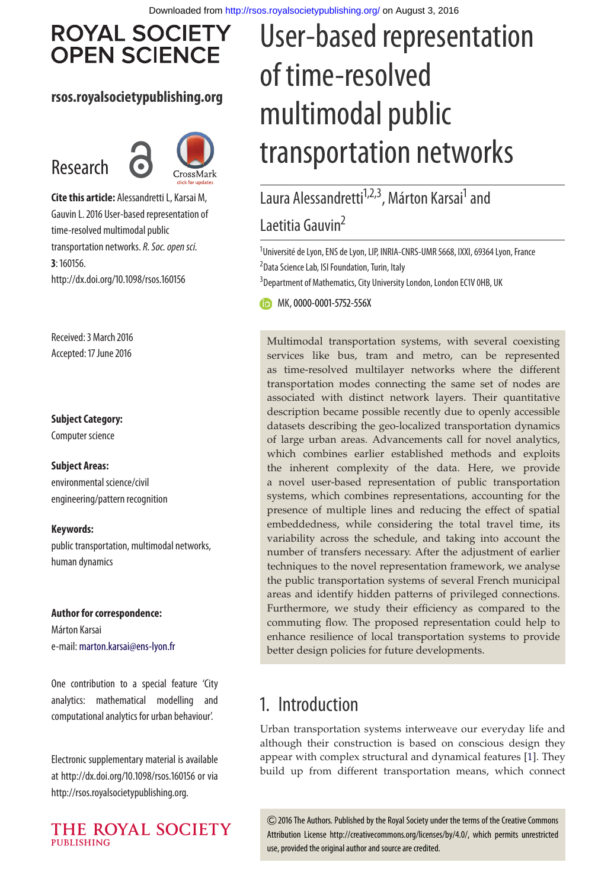## **ROYAL SOCIETY OPEN SCIENCE**

## **rsos.royalsocietypublishing.org**

## Research



**Cite this article:** Alessandretti L, Karsai M, Gauvin L. 2016 User-based representation of time-resolved multimodal public transportation networks. R. Soc. open sci. **3**: 160156. http://dx.doi.org/10.1098/rsos.160156

Received: 3 March 2016 Accepted: 17 June 2016

#### **Subject Category:**

Computer science

#### **Subject Areas:**

environmental science/civil engineering/pattern recognition

#### **Keywords:**

public transportation, multimodal networks, human dynamics

#### **Author for correspondence:**

Márton Karsai e-mail: [marton.karsai@ens-lyon.fr](mailto:marton.karsai@ens-lyon.fr)

One contribution to a special feature 'City analytics: mathematical modelling and computational analytics for urban behaviour'.

Electronic supplementary material is available at http://dx.doi.org/10.1098/rsos.160156 or via http://rsos.royalsocietypublishing.org.



# User-based representation of time-resolved multimodal public transportation networks

## Laura Alessandretti<sup>1,2,3</sup>, Márton Karsai<sup>1</sup> and

## Laetitia Gauvin<sup>2</sup>

<sup>1</sup>Université de Lyon, ENS de Lyon, LIP, INRIA-CNRS-UMR 5668, IXXI, 69364 Lyon, France <sup>2</sup> Data Science Lab, ISI Foundation, Turin, Italy

<sup>3</sup> Department of Mathematics, City University London, London EC1V 0HB, UK

**MK, [0000-0001-5752-556X](http://orcid.org/0000-0001-5752-556X)** 

Multimodal transportation systems, with several coexisting services like bus, tram and metro, can be represented as time-resolved multilayer networks where the different transportation modes connecting the same set of nodes are associated with distinct network layers. Their quantitative description became possible recently due to openly accessible datasets describing the geo-localized transportation dynamics of large urban areas. Advancements call for novel analytics, which combines earlier established methods and exploits the inherent complexity of the data. Here, we provide a novel user-based representation of public transportation systems, which combines representations, accounting for the presence of multiple lines and reducing the effect of spatial embeddedness, while considering the total travel time, its variability across the schedule, and taking into account the number of transfers necessary. After the adjustment of earlier techniques to the novel representation framework, we analyse the public transportation systems of several French municipal areas and identify hidden patterns of privileged connections. Furthermore, we study their efficiency as compared to the commuting flow. The proposed representation could help to enhance resilience of local transportation systems to provide better design policies for future developments.

## 1. Introduction

Urban transportation systems interweave our everyday life and although their construction is based on conscious design they appear with complex structural and dynamical features [\[1\]](#page-10-0). They build up from different transportation means, which connect

2016 The Authors. Published by the Royal Society under the terms of the Creative Commons Attribution License http://creativecommons.org/licenses/by/4.0/, which permits unrestricted use, provided the original author and source are credited.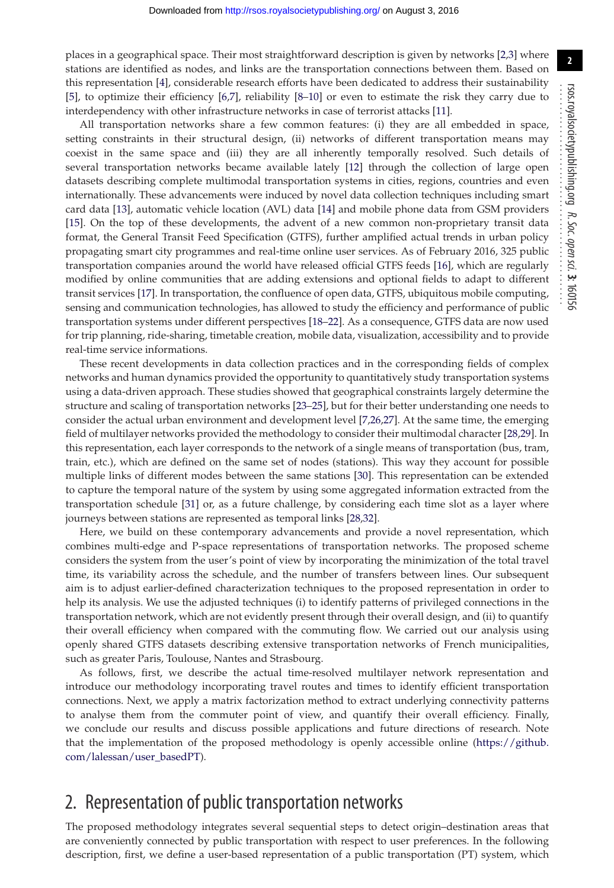**2**

places in a geographical space. Their most straightforward description is given by networks [\[2](#page-10-1)[,3\]](#page-10-2) where stations are identified as nodes, and links are the transportation connections between them. Based on this representation [\[4\]](#page-10-3), considerable research efforts have been dedicated to address their sustainability [\[5\]](#page-10-4), to optimize their efficiency [\[6](#page-10-5)[,7\]](#page-10-6), reliability [\[8](#page-10-7)[–10\]](#page-10-8) or even to estimate the risk they carry due to interdependency with other infrastructure networks in case of terrorist attacks [\[11\]](#page-10-9).

All transportation networks share a few common features: (i) they are all embedded in space, setting constraints in their structural design, (ii) networks of different transportation means may coexist in the same space and (iii) they are all inherently temporally resolved. Such details of several transportation networks became available lately [\[12\]](#page-10-10) through the collection of large open datasets describing complete multimodal transportation systems in cities, regions, countries and even internationally. These advancements were induced by novel data collection techniques including smart card data [\[13\]](#page-10-11), automatic vehicle location (AVL) data [\[14\]](#page-10-12) and mobile phone data from GSM providers [\[15\]](#page-10-13). On the top of these developments, the advent of a new common non-proprietary transit data format, the General Transit Feed Specification (GTFS), further amplified actual trends in urban policy propagating smart city programmes and real-time online user services. As of February 2016, 325 public transportation companies around the world have released official GTFS feeds [\[16\]](#page-10-14), which are regularly modified by online communities that are adding extensions and optional fields to adapt to different transit services [\[17\]](#page-10-15). In transportation, the confluence of open data, GTFS, ubiquitous mobile computing, sensing and communication technologies, has allowed to study the efficiency and performance of public transportation systems under different perspectives [\[18](#page-10-16)[–22\]](#page-11-0). As a consequence, GTFS data are now used for trip planning, ride-sharing, timetable creation, mobile data, visualization, accessibility and to provide real-time service informations.

These recent developments in data collection practices and in the corresponding fields of complex networks and human dynamics provided the opportunity to quantitatively study transportation systems using a data-driven approach. These studies showed that geographical constraints largely determine the structure and scaling of transportation networks [\[23](#page-11-1)[–25\]](#page-11-2), but for their better understanding one needs to consider the actual urban environment and development level [\[7,](#page-10-6)[26,](#page-11-3)[27\]](#page-11-4). At the same time, the emerging field of multilayer networks provided the methodology to consider their multimodal character [\[28,](#page-11-5)[29\]](#page-11-6). In this representation, each layer corresponds to the network of a single means of transportation (bus, tram, train, etc.), which are defined on the same set of nodes (stations). This way they account for possible multiple links of different modes between the same stations [\[30\]](#page-11-7). This representation can be extended to capture the temporal nature of the system by using some aggregated information extracted from the transportation schedule [\[31\]](#page-11-8) or, as a future challenge, by considering each time slot as a layer where journeys between stations are represented as temporal links [\[28,](#page-11-5)[32\]](#page-11-9).

Here, we build on these contemporary advancements and provide a novel representation, which combines multi-edge and P-space representations of transportation networks. The proposed scheme considers the system from the user's point of view by incorporating the minimization of the total travel time, its variability across the schedule, and the number of transfers between lines. Our subsequent aim is to adjust earlier-defined characterization techniques to the proposed representation in order to help its analysis. We use the adjusted techniques (i) to identify patterns of privileged connections in the transportation network, which are not evidently present through their overall design, and (ii) to quantify their overall efficiency when compared with the commuting flow. We carried out our analysis using openly shared GTFS datasets describing extensive transportation networks of French municipalities, such as greater Paris, Toulouse, Nantes and Strasbourg.

As follows, first, we describe the actual time-resolved multilayer network representation and introduce our methodology incorporating travel routes and times to identify efficient transportation connections. Next, we apply a matrix factorization method to extract underlying connectivity patterns to analyse them from the commuter point of view, and quantify their overall efficiency. Finally, we conclude our results and discuss possible applications and future directions of research. Note that the implementation of the proposed methodology is openly accessible online [\(https://github.](https://github.com/lalessan/user_basedPT) [com/lalessan/user\\_basedPT\)](https://github.com/lalessan/user_basedPT).

## 2. Representation of public transportation networks

The proposed methodology integrates several sequential steps to detect origin–destination areas that are conveniently connected by public transportation with respect to user preferences. In the following description, first, we define a user-based representation of a public transportation (PT) system, which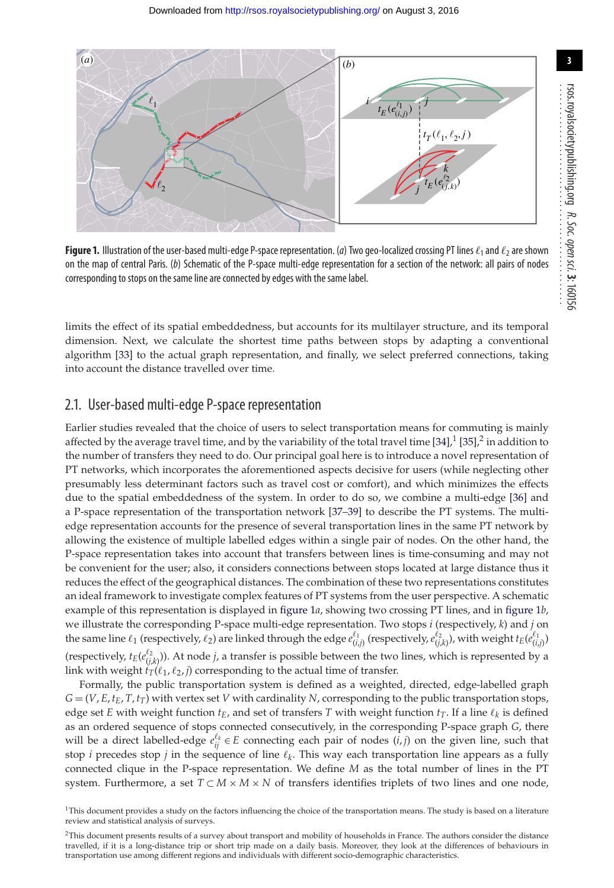

<span id="page-2-0"></span>**Figure 1.** Illustration of the user-based multi-edge P-space representation. (*a*) Two geo-localized crossing PT lines  $\ell_1$  and  $\ell_2$  are shown on the map of central Paris. (b) Schematic of the P-space multi-edge representation for a section of the network: all pairs of nodes corresponding to stops on the same line are connected by edges with the same label.

limits the effect of its spatial embeddedness, but accounts for its multilayer structure, and its temporal dimension. Next, we calculate the shortest time paths between stops by adapting a conventional algorithm [\[33\]](#page-11-10) to the actual graph representation, and finally, we select preferred connections, taking into account the distance travelled over time.

## 2.1. User-based multi-edge P-space representation

Earlier studies revealed that the choice of users to select transportation means for commuting is mainly affected by the average travel time, and by the variability of the total travel time  $[34]$ ,<sup>1</sup>  $[35]$ ,<sup>2</sup> in addition to the number of transfers they need to do. Our principal goal here is to introduce a novel representation of PT networks, which incorporates the aforementioned aspects decisive for users (while neglecting other presumably less determinant factors such as travel cost or comfort), and which minimizes the effects due to the spatial embeddedness of the system. In order to do so, we combine a multi-edge [\[36\]](#page-11-13) and a P-space representation of the transportation network [\[37](#page-11-14)[–39\]](#page-11-15) to describe the PT systems. The multiedge representation accounts for the presence of several transportation lines in the same PT network by allowing the existence of multiple labelled edges within a single pair of nodes. On the other hand, the P-space representation takes into account that transfers between lines is time-consuming and may not be convenient for the user; also, it considers connections between stops located at large distance thus it reduces the effect of the geographical distances. The combination of these two representations constitutes an ideal framework to investigate complex features of PT systems from the user perspective. A schematic example of this representation is displayed in [figure 1](#page-2-0)*a*, showing two crossing PT lines, and in [figure 1](#page-2-0)*b*, we illustrate the corresponding P-space multi-edge representation. Two stops *i* (respectively, *k*) and *j* on the same line  $\ell_1$  (respectively,  $\ell_2$ ) are linked through the edge  $e^{ \ell_1}_{(i,j)}$  (respectively,  $e^{ \ell_2}_{(j,k)}$ ), with weight  $t_E(e^{ \ell_1}_{(i,j)})$ (respectively,  $t_E(e_{(j,k)}^{\ell_2})$ ). At node *j*, a transfer is possible between the two lines, which is represented by a link with weight  $t_T(\ell_1, \ell_2, j)$  corresponding to the actual time of transfer.

Formally, the public transportation system is defined as a weighted, directed, edge-labelled graph  $G = (V, E, t_E, T, t_T)$  with vertex set *V* with cardinality *N*, corresponding to the public transportation stops, edge set *E* with weight function  $t_E$ , and set of transfers *T* with weight function  $t_T$ . If a line  $\ell_k$  is defined as an ordered sequence of stops connected consecutively, in the corresponding P-space graph *G*, there will be a direct labelled-edge  $e_{ij}^{\ell_k} \in E$  connecting each pair of nodes  $(i, j)$  on the given line, such that stop *i* precedes stop *j* in the sequence of line  $\ell_k$ . This way each transportation line appears as a fully connected clique in the P-space representation. We define *M* as the total number of lines in the PT system. Furthermore, a set  $T \subset M \times M \times N$  of transfers identifies triplets of two lines and one node,

<sup>1</sup>This document provides a study on the factors influencing the choice of the transportation means. The study is based on a literature review and statistical analysis of surveys.

<sup>2</sup>This document presents results of a survey about transport and mobility of households in France. The authors consider the distance travelled, if it is a long-distance trip or short trip made on a daily basis. Moreover, they look at the differences of behaviours in transportation use among different regions and individuals with different socio-demographic characteristics.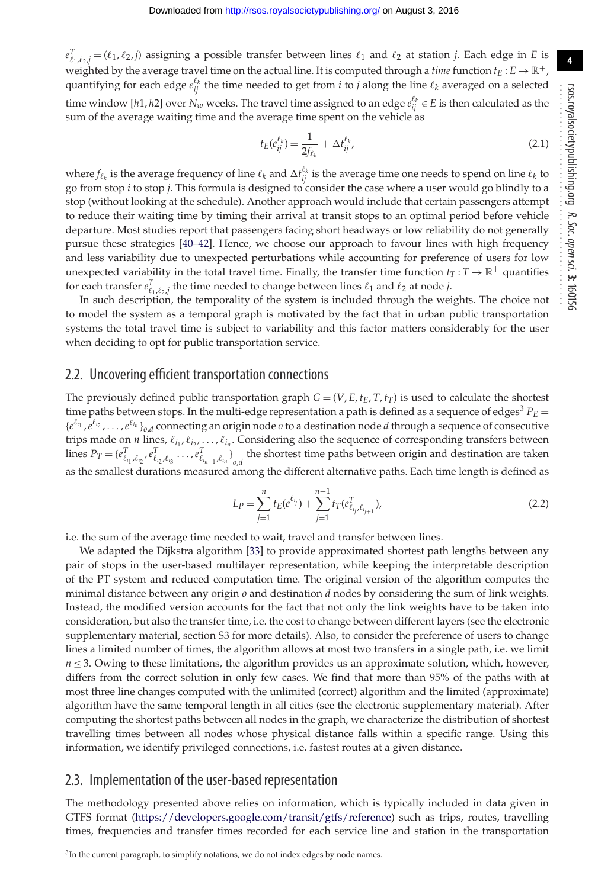**4**

 $e_{\ell_1,\ell_2,j}^T = (\ell_1,\ell_2,j)$  assigning a possible transfer between lines  $\ell_1$  and  $\ell_2$  at station *j*. Each edge in *E* is weighted by the average travel time on the actual line. It is computed through a *time* function  $t_E : E \to \mathbb{R}^+$ , quantifying for each edge  $e_{ij}^{\ell_k}$  the time needed to get from *i* to *j* along the line  $\ell_k$  averaged on a selected time window [*h*1, *h*2] over  $N_w$  weeks. The travel time assigned to an edge  $e_{ij}^{ell_k} \in E$  is then calculated as the sum of the average waiting time and the average time spent on the vehicle as

$$
t_E(e_{ij}^{\ell_k}) = \frac{1}{2f_{\ell_k}} + \Delta t_{ij}^{\ell_k},\tag{2.1}
$$

where  $f_{\ell_k}$  is the average frequency of line  $\ell_k$  and  $\Delta t_{ij}^{\ell_k}$  is the average time one needs to spend on line  $\ell_k$  to go from stop *i* to stop *j*. This formula is designed to consider the case where a user would go blindly to a stop (without looking at the schedule). Another approach would include that certain passengers attempt to reduce their waiting time by timing their arrival at transit stops to an optimal period before vehicle departure. Most studies report that passengers facing short headways or low reliability do not generally pursue these strategies [\[40–](#page-11-16)[42\]](#page-11-17). Hence, we choose our approach to favour lines with high frequency and less variability due to unexpected perturbations while accounting for preference of users for low unexpected variability in the total travel time. Finally, the transfer time function  $t_T : T \to \mathbb{R}^+$  quantifies for each transfer  $e_{\ell_1,\ell_2,j}^T$  the time needed to change between lines  $\ell_1$  and  $\ell_2$  at node *j*.

In such description, the temporality of the system is included through the weights. The choice not to model the system as a temporal graph is motivated by the fact that in urban public transportation systems the total travel time is subject to variability and this factor matters considerably for the user when deciding to opt for public transportation service.

#### 2.2. Uncovering efficient transportation connections

The previously defined public transportation graph  $G = (V, E, t_F, T, t_T)$  is used to calculate the shortest time paths between stops. In the multi-edge representation a path is defined as a sequence of edges<sup>3</sup>  $P_E$  =  ${e^{\ell_{i_1}}, e^{\ell_{i_2}}, \ldots, e^{\ell_{i_n}}}_{o,d}$  connecting an origin node *o* to a destination node *d* through a sequence of consecutive trips made on *n* lines,  $\ell_{i_1}, \ell_{i_2}, \ldots, \ell_{i_n}$ . Considering also the sequence of corresponding transfers between lines  $P_T = \{e_{\ell_{i_1},\ell_{i_2}}^T,e_{\ell_{i_2},\ell_{i_3}}^T\ldots,e_{\ell_{i_{n-1}},\ell_{i_n}}^T\}_{o,d}$  the shortest time paths between origin and destination are taken as the smallest durations measured among the different alternative paths. Each time length is defined as

$$
L_P = \sum_{j=1}^n t_E(e^{\ell_{i_j}}) + \sum_{j=1}^{n-1} t_T(e_{\ell_{i_j}, \ell_{i_{j+1}}})
$$
\n(2.2)

i.e. the sum of the average time needed to wait, travel and transfer between lines.

We adapted the Dijkstra algorithm [\[33\]](#page-11-10) to provide approximated shortest path lengths between any pair of stops in the user-based multilayer representation, while keeping the interpretable description of the PT system and reduced computation time. The original version of the algorithm computes the minimal distance between any origin *o* and destination *d* nodes by considering the sum of link weights. Instead, the modified version accounts for the fact that not only the link weights have to be taken into consideration, but also the transfer time, i.e. the cost to change between different layers (see the electronic supplementary material, section S3 for more details). Also, to consider the preference of users to change lines a limited number of times, the algorithm allows at most two transfers in a single path, i.e. we limit *n* ≤ 3. Owing to these limitations, the algorithm provides us an approximate solution, which, however, differs from the correct solution in only few cases. We find that more than 95% of the paths with at most three line changes computed with the unlimited (correct) algorithm and the limited (approximate) algorithm have the same temporal length in all cities (see the electronic supplementary material). After computing the shortest paths between all nodes in the graph, we characterize the distribution of shortest travelling times between all nodes whose physical distance falls within a specific range. Using this information, we identify privileged connections, i.e. fastest routes at a given distance.

### 2.3. Implementation of the user-based representation

The methodology presented above relies on information, which is typically included in data given in GTFS format [\(https://developers.google.com/transit/gtfs/reference\)](https://developers.google.com/transit/gtfs/reference) such as trips, routes, travelling times, frequencies and transfer times recorded for each service line and station in the transportation

<sup>&</sup>lt;sup>3</sup>In the current paragraph, to simplify notations, we do not index edges by node names.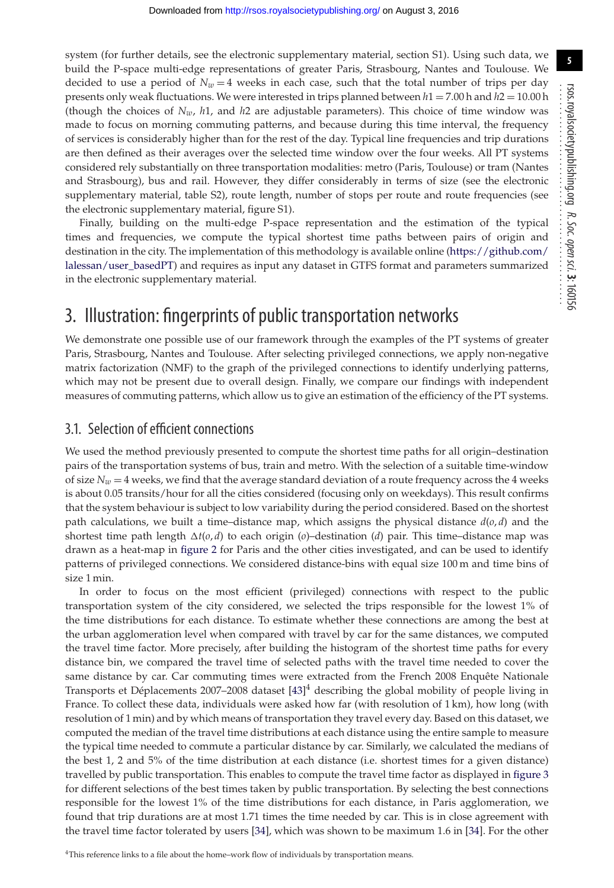system (for further details, see the electronic supplementary material, section S1). Using such data, we build the P-space multi-edge representations of greater Paris, Strasbourg, Nantes and Toulouse. We decided to use a period of  $N_w = 4$  weeks in each case, such that the total number of trips per day presents only weak fluctuations. We were interested in trips planned between  $h1 = 7.00$  h and  $h2 = 10.00$  h (though the choices of  $N_w$ ,  $h1$ , and  $h2$  are adjustable parameters). This choice of time window was made to focus on morning commuting patterns, and because during this time interval, the frequency of services is considerably higher than for the rest of the day. Typical line frequencies and trip durations are then defined as their averages over the selected time window over the four weeks. All PT systems considered rely substantially on three transportation modalities: metro (Paris, Toulouse) or tram (Nantes and Strasbourg), bus and rail. However, they differ considerably in terms of size (see the electronic supplementary material, table S2), route length, number of stops per route and route frequencies (see the electronic supplementary material, figure S1).

Finally, building on the multi-edge P-space representation and the estimation of the typical times and frequencies, we compute the typical shortest time paths between pairs of origin and destination in the city. The implementation of this methodology is available online [\(https://github.com/](https://github.com/lalessan/user_basedPT) [lalessan/user\\_basedPT\)](https://github.com/lalessan/user_basedPT) and requires as input any dataset in GTFS format and parameters summarized in the electronic supplementary material.

## 3. Illustration: fingerprints of public transportation networks

We demonstrate one possible use of our framework through the examples of the PT systems of greater Paris, Strasbourg, Nantes and Toulouse. After selecting privileged connections, we apply non-negative matrix factorization (NMF) to the graph of the privileged connections to identify underlying patterns, which may not be present due to overall design. Finally, we compare our findings with independent measures of commuting patterns, which allow us to give an estimation of the efficiency of the PT systems.

### 3.1. Selection of efficient connections

We used the method previously presented to compute the shortest time paths for all origin–destination pairs of the transportation systems of bus, train and metro. With the selection of a suitable time-window of size  $N_w = 4$  weeks, we find that the average standard deviation of a route frequency across the 4 weeks is about 0.05 transits/hour for all the cities considered (focusing only on weekdays). This result confirms that the system behaviour is subject to low variability during the period considered. Based on the shortest path calculations, we built a time–distance map, which assigns the physical distance  $d(o, d)$  and the shortest time path length  $\Delta t$ (*o*, *d*) to each origin (*o*)–destination (*d*) pair. This time–distance map was drawn as a heat-map in [figure 2](#page-5-0) for Paris and the other cities investigated, and can be used to identify patterns of privileged connections. We considered distance-bins with equal size 100 m and time bins of size 1 min.

In order to focus on the most efficient (privileged) connections with respect to the public transportation system of the city considered, we selected the trips responsible for the lowest 1% of the time distributions for each distance. To estimate whether these connections are among the best at the urban agglomeration level when compared with travel by car for the same distances, we computed the travel time factor. More precisely, after building the histogram of the shortest time paths for every distance bin, we compared the travel time of selected paths with the travel time needed to cover the same distance by car. Car commuting times were extracted from the French 2008 Enquête Nationale Transports et Déplacements 2007–2008 dataset [\[43\]](#page-11-18) <sup>4</sup> describing the global mobility of people living in France. To collect these data, individuals were asked how far (with resolution of 1 km), how long (with resolution of 1 min) and by which means of transportation they travel every day. Based on this dataset, we computed the median of the travel time distributions at each distance using the entire sample to measure the typical time needed to commute a particular distance by car. Similarly, we calculated the medians of the best 1, 2 and 5% of the time distribution at each distance (i.e. shortest times for a given distance) travelled by public transportation. This enables to compute the travel time factor as displayed in [figure 3](#page-6-0) for different selections of the best times taken by public transportation. By selecting the best connections responsible for the lowest 1% of the time distributions for each distance, in Paris agglomeration, we found that trip durations are at most 1.71 times the time needed by car. This is in close agreement with the travel time factor tolerated by users [\[34\]](#page-11-11), which was shown to be maximum 1.6 in [\[34\]](#page-11-11). For the other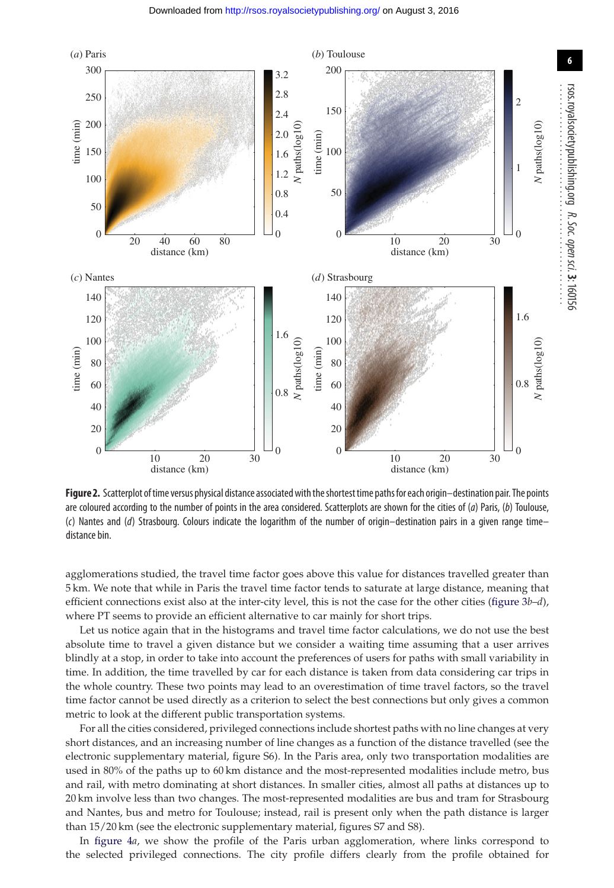

<span id="page-5-0"></span>Figure 2. Scatterplot of time versus physical distance associated with the shortest time paths for each origin–destination pair. The points are coloured according to the number of points in the area considered. Scatterplots are shown for the cities of  $(a)$  Paris,  $(b)$  Toulouse, (c) Nantes and (d) Strasbourg. Colours indicate the logarithm of the number of origin–destination pairs in a given range time– distance bin.

agglomerations studied, the travel time factor goes above this value for distances travelled greater than 5 km. We note that while in Paris the travel time factor tends to saturate at large distance, meaning that efficient connections exist also at the inter-city level, this is not the case for the other cities [\(figure 3](#page-6-0)*b*–*d*), where PT seems to provide an efficient alternative to car mainly for short trips.

Let us notice again that in the histograms and travel time factor calculations, we do not use the best absolute time to travel a given distance but we consider a waiting time assuming that a user arrives blindly at a stop, in order to take into account the preferences of users for paths with small variability in time. In addition, the time travelled by car for each distance is taken from data considering car trips in the whole country. These two points may lead to an overestimation of time travel factors, so the travel time factor cannot be used directly as a criterion to select the best connections but only gives a common metric to look at the different public transportation systems.

For all the cities considered, privileged connections include shortest paths with no line changes at very short distances, and an increasing number of line changes as a function of the distance travelled (see the electronic supplementary material, figure S6). In the Paris area, only two transportation modalities are used in 80% of the paths up to 60 km distance and the most-represented modalities include metro, bus and rail, with metro dominating at short distances. In smaller cities, almost all paths at distances up to 20 km involve less than two changes. The most-represented modalities are bus and tram for Strasbourg and Nantes, bus and metro for Toulouse; instead, rail is present only when the path distance is larger than 15/20 km (see the electronic supplementary material, figures S7 and S8).

In [figure 4](#page-6-1)*a*, we show the profile of the Paris urban agglomeration, where links correspond to the selected privileged connections. The city profile differs clearly from the profile obtained for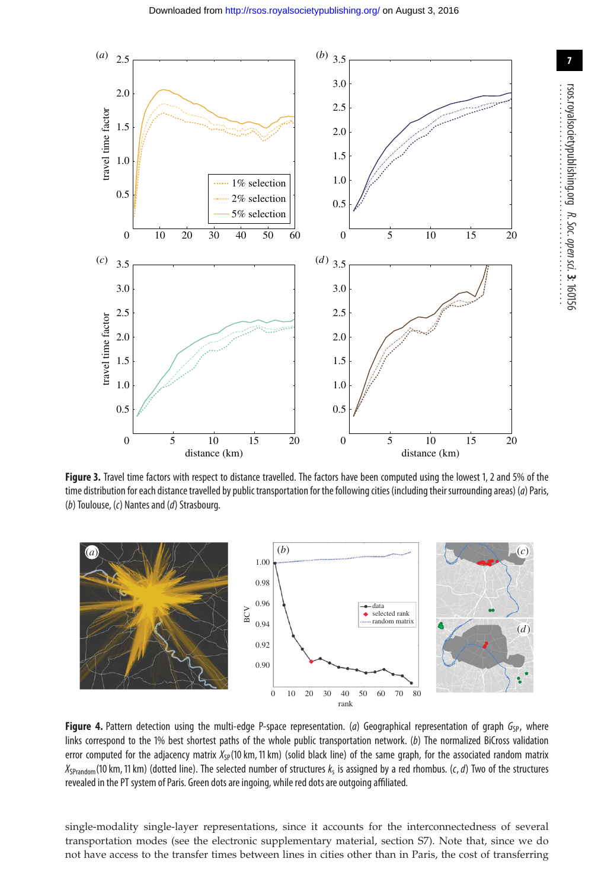

<span id="page-6-0"></span>**Figure 3.** Travel time factors with respect to distance travelled. The factors have been computed using the lowest 1, 2 and 5% of the time distribution for each distance travelled by public transportation for the following cities (including their surrounding areas) (a) Paris, (b) Toulouse, (c) Nantes and (d) Strasbourg.

![](_page_6_Figure_3.jpeg)

<span id="page-6-1"></span>Figure 4. Pattern detection using the multi-edge P-space representation. (a) Geographical representation of graph G<sub>SP</sub>, where links correspond to the 1% best shortest paths of the whole public transportation network. (b) The normalized BiCross validation error computed for the adjacency matrix  $X_{SP}$ (10 km, 11 km) (solid black line) of the same graph, for the associated random matrix  $X<sub>SPzandom</sub>$  (10 km, 11 km) (dotted line). The selected number of structures  $k<sub>s</sub>$  is assigned by a red rhombus. (c, d) Two of the structures revealed in the PT system of Paris. Green dots are ingoing, while red dots are outgoing affiliated.

single-modality single-layer representations, since it accounts for the interconnectedness of several transportation modes (see the electronic supplementary material, section S7). Note that, since we do not have access to the transfer times between lines in cities other than in Paris, the cost of transferring

rsos.royalsocietypublishing.org

R. Soc.

................................................

open

sci. **3**: 160156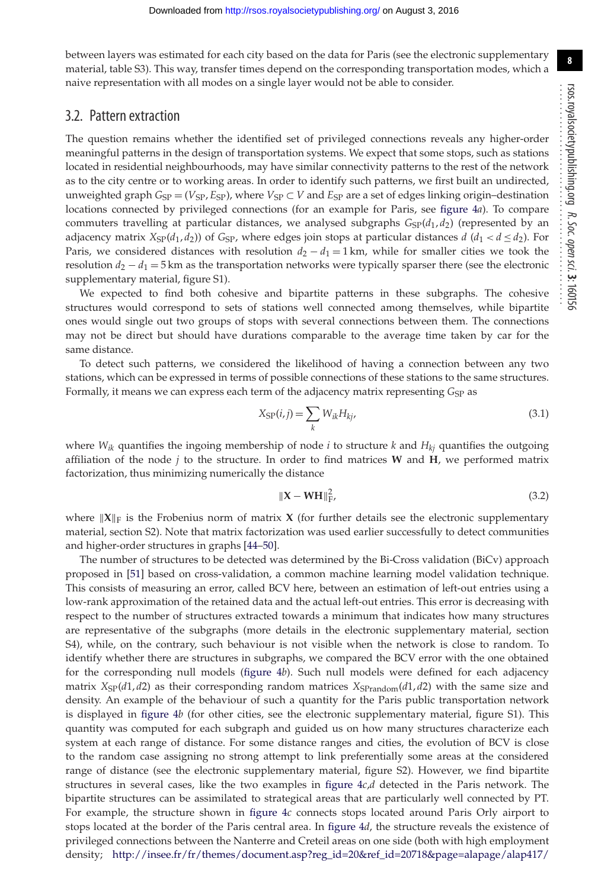between layers was estimated for each city based on the data for Paris (see the electronic supplementary material, table S3). This way, transfer times depend on the corresponding transportation modes, which a naive representation with all modes on a single layer would not be able to consider.

## 3.2. Pattern extraction

The question remains whether the identified set of privileged connections reveals any higher-order meaningful patterns in the design of transportation systems. We expect that some stops, such as stations located in residential neighbourhoods, may have similar connectivity patterns to the rest of the network as to the city centre or to working areas. In order to identify such patterns, we first built an undirected, unweighted graph  $G_{SP} = (V_{SP}, E_{SP})$ , where  $V_{SP} \subset V$  and  $E_{SP}$  are a set of edges linking origin–destination locations connected by privileged connections (for an example for Paris, see [figure 4](#page-6-1)*a*). To compare commuters travelling at particular distances, we analysed subgraphs  $G_{SP}(d_1, d_2)$  (represented by an adjacency matrix  $X_{SP}(d_1, d_2)$ ) of  $G_{SP}$ , where edges join stops at particular distances *d* ( $d_1 < d \leq d_2$ ). For Paris, we considered distances with resolution  $d_2 - d_1 = 1$  km, while for smaller cities we took the resolution  $d_2 - d_1 = 5$  km as the transportation networks were typically sparser there (see the electronic supplementary material, figure S1).

We expected to find both cohesive and bipartite patterns in these subgraphs. The cohesive structures would correspond to sets of stations well connected among themselves, while bipartite ones would single out two groups of stops with several connections between them. The connections may not be direct but should have durations comparable to the average time taken by car for the same distance.

To detect such patterns, we considered the likelihood of having a connection between any two stations, which can be expressed in terms of possible connections of these stations to the same structures. Formally, it means we can express each term of the adjacency matrix representing *G*<sub>SP</sub> as

$$
X_{\rm SP}(i,j) = \sum_{k} W_{ik} H_{kj},\tag{3.1}
$$

where  $W_{ik}$  quantifies the ingoing membership of node *i* to structure *k* and  $H_{ki}$  quantifies the outgoing affiliation of the node *j* to the structure. In order to find matrices **W** and **H**, we performed matrix factorization, thus minimizing numerically the distance

$$
\|\mathbf{X} - \mathbf{W}\mathbf{H}\|_{\text{F}}^2,\tag{3.2}
$$

where  $\|\mathbf{X}\|_{\text{F}}$  is the Frobenius norm of matrix **X** (for further details see the electronic supplementary material, section S2). Note that matrix factorization was used earlier successfully to detect communities and higher-order structures in graphs [\[44–](#page-11-19)[50\]](#page-11-20).

The number of structures to be detected was determined by the Bi-Cross validation (BiCv) approach proposed in [\[51\]](#page-11-21) based on cross-validation, a common machine learning model validation technique. This consists of measuring an error, called BCV here, between an estimation of left-out entries using a low-rank approximation of the retained data and the actual left-out entries. This error is decreasing with respect to the number of structures extracted towards a minimum that indicates how many structures are representative of the subgraphs (more details in the electronic supplementary material, section S4), while, on the contrary, such behaviour is not visible when the network is close to random. To identify whether there are structures in subgraphs, we compared the BCV error with the one obtained for the corresponding null models [\(figure 4](#page-6-1)*b*). Such null models were defined for each adjacency matrix  $X_{SP}(d1, d2)$  as their corresponding random matrices  $X_{SPrandom}(d1, d2)$  with the same size and density. An example of the behaviour of such a quantity for the Paris public transportation network is displayed in [figure 4](#page-6-1)*b* (for other cities, see the electronic supplementary material, figure S1). This quantity was computed for each subgraph and guided us on how many structures characterize each system at each range of distance. For some distance ranges and cities, the evolution of BCV is close to the random case assigning no strong attempt to link preferentially some areas at the considered range of distance (see the electronic supplementary material, figure S2). However, we find bipartite structures in several cases, like the two examples in [figure 4](#page-6-1)*c*,*d* detected in the Paris network. The bipartite structures can be assimilated to strategical areas that are particularly well connected by PT. For example, the structure shown in [figure 4](#page-6-1)*c* connects stops located around Paris Orly airport to stops located at the border of the Paris central area. In [figure 4](#page-6-1)*d*, the structure reveals the existence of privileged connections between the Nanterre and Creteil areas on one side (both with high employment density; [http://insee.fr/fr/themes/document.asp?reg\\_id=20&ref\\_id=20718&page=alapage/alap417/](http://insee.fr/fr/themes/document.asp?reg_id=20\&ref_id=20718\&page=alapage/alap417/alap417_carte.htm#carte1)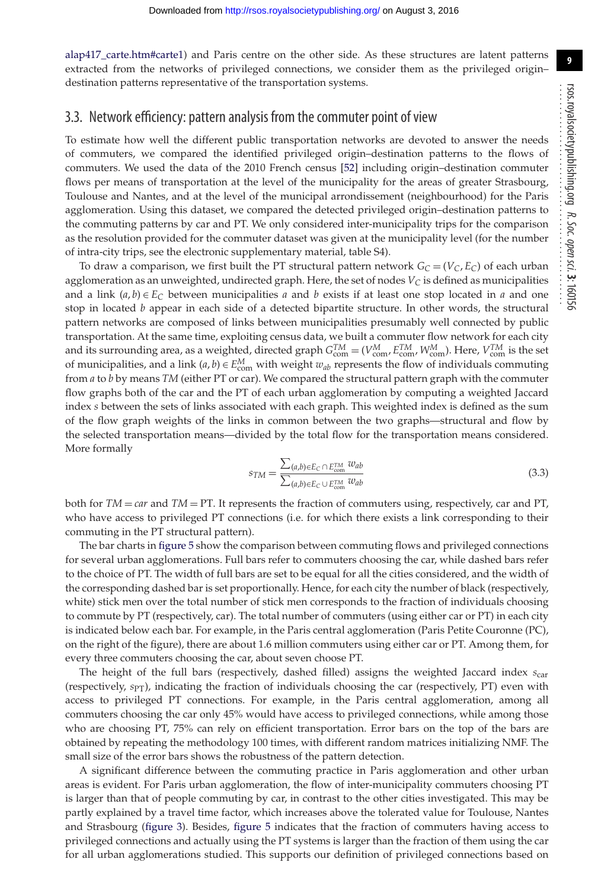**9**

[alap417\\_carte.htm#carte1\)](http://insee.fr/fr/themes/document.asp?reg_id=20\&ref_id=20718\&page=alapage/alap417/alap417_carte.htm#carte1) and Paris centre on the other side. As these structures are latent patterns extracted from the networks of privileged connections, we consider them as the privileged origin– destination patterns representative of the transportation systems.

#### 3.3. Network efficiency: pattern analysis from the commuter point of view

To estimate how well the different public transportation networks are devoted to answer the needs of commuters, we compared the identified privileged origin–destination patterns to the flows of commuters. We used the data of the 2010 French census [\[52\]](#page-11-22) including origin–destination commuter flows per means of transportation at the level of the municipality for the areas of greater Strasbourg, Toulouse and Nantes, and at the level of the municipal arrondissement (neighbourhood) for the Paris agglomeration. Using this dataset, we compared the detected privileged origin–destination patterns to the commuting patterns by car and PT. We only considered inter-municipality trips for the comparison as the resolution provided for the commuter dataset was given at the municipality level (for the number of intra-city trips, see the electronic supplementary material, table S4).

To draw a comparison, we first built the PT structural pattern network  $G_C = (V_C, E_C)$  of each urban agglomeration as an unweighted, undirected graph. Here, the set of nodes  $V_C$  is defined as municipalities and a link  $(a, b) \in E_C$  between municipalities *a* and *b* exists if at least one stop located in *a* and one stop in located *b* appear in each side of a detected bipartite structure. In other words, the structural pattern networks are composed of links between municipalities presumably well connected by public transportation. At the same time, exploiting census data, we built a commuter flow network for each city and its surrounding area, as a weighted, directed graph  $G_{\rm com}^{TM}=(V_{\rm com}^M, E_{\rm com}^{TM}, W_{\rm com}^M)$ . Here,  $V_{\rm com}^{TM}$  is the set of municipalities, and a link  $(a, b) \in E_{com}^M$  with weight  $w_{ab}$  represents the flow of individuals commuting from *a* to *b* by means *TM* (either PT or car). We compared the structural pattern graph with the commuter flow graphs both of the car and the PT of each urban agglomeration by computing a weighted Jaccard index *s* between the sets of links associated with each graph. This weighted index is defined as the sum of the flow graph weights of the links in common between the two graphs—structural and flow by the selected transportation means—divided by the total flow for the transportation means considered. More formally

$$
s_{TM} = \frac{\sum_{(a,b)\in E_C \cap E_{\text{com}}^{TM} } w_{ab}}{\sum_{(a,b)\in E_C \cup E_{\text{com}}^{TM} } w_{ab}}
$$
(3.3)

both for *TM* = *car* and *TM* = PT. It represents the fraction of commuters using, respectively, car and PT, who have access to privileged PT connections (i.e. for which there exists a link corresponding to their commuting in the PT structural pattern).

The bar charts in [figure 5](#page-9-0) show the comparison between commuting flows and privileged connections for several urban agglomerations. Full bars refer to commuters choosing the car, while dashed bars refer to the choice of PT. The width of full bars are set to be equal for all the cities considered, and the width of the corresponding dashed bar is set proportionally. Hence, for each city the number of black (respectively, white) stick men over the total number of stick men corresponds to the fraction of individuals choosing to commute by PT (respectively, car). The total number of commuters (using either car or PT) in each city is indicated below each bar. For example, in the Paris central agglomeration (Paris Petite Couronne (PC), on the right of the figure), there are about 1.6 million commuters using either car or PT. Among them, for every three commuters choosing the car, about seven choose PT.

The height of the full bars (respectively, dashed filled) assigns the weighted Jaccard index *s*car (respectively, *s*PT), indicating the fraction of individuals choosing the car (respectively, PT) even with access to privileged PT connections. For example, in the Paris central agglomeration, among all commuters choosing the car only 45% would have access to privileged connections, while among those who are choosing PT, 75% can rely on efficient transportation. Error bars on the top of the bars are obtained by repeating the methodology 100 times, with different random matrices initializing NMF. The small size of the error bars shows the robustness of the pattern detection.

A significant difference between the commuting practice in Paris agglomeration and other urban areas is evident. For Paris urban agglomeration, the flow of inter-municipality commuters choosing PT is larger than that of people commuting by car, in contrast to the other cities investigated. This may be partly explained by a travel time factor, which increases above the tolerated value for Toulouse, Nantes and Strasbourg [\(figure 3\)](#page-6-0). Besides, [figure 5](#page-9-0) indicates that the fraction of commuters having access to privileged connections and actually using the PT systems is larger than the fraction of them using the car for all urban agglomerations studied. This supports our definition of privileged connections based on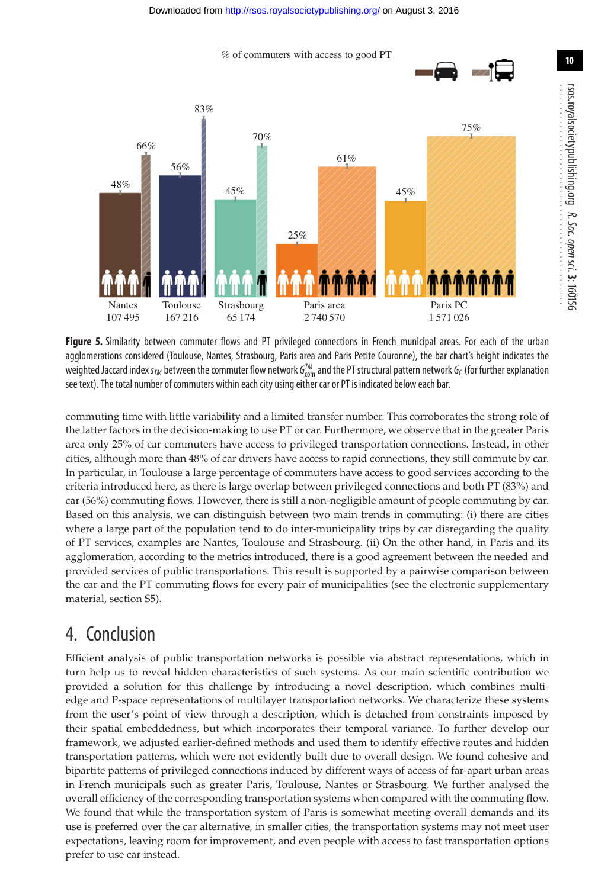![](_page_9_Figure_1.jpeg)

<span id="page-9-0"></span>**Figure 5.** Similarity between commuter flows and PT privileged connections in French municipal areas. For each of the urban agglomerations considered (Toulouse, Nantes, Strasbourg, Paris area and Paris Petite Couronne), the bar chart's height indicates the weighted Jaccard index s<sub>TM</sub> between the commuter flow network  $G_\text{com}^{\text{TM}}$  and the PT structural pattern network  $G_\zeta$  (for further explanation see text). The total number of commuters within each city using either car or PT is indicated below each bar.

commuting time with little variability and a limited transfer number. This corroborates the strong role of the latter factors in the decision-making to use PT or car. Furthermore, we observe that in the greater Paris area only 25% of car commuters have access to privileged transportation connections. Instead, in other cities, although more than 48% of car drivers have access to rapid connections, they still commute by car. In particular, in Toulouse a large percentage of commuters have access to good services according to the criteria introduced here, as there is large overlap between privileged connections and both PT (83%) and car (56%) commuting flows. However, there is still a non-negligible amount of people commuting by car. Based on this analysis, we can distinguish between two main trends in commuting: (i) there are cities where a large part of the population tend to do inter-municipality trips by car disregarding the quality of PT services, examples are Nantes, Toulouse and Strasbourg. (ii) On the other hand, in Paris and its agglomeration, according to the metrics introduced, there is a good agreement between the needed and provided services of public transportations. This result is supported by a pairwise comparison between the car and the PT commuting flows for every pair of municipalities (see the electronic supplementary material, section S5).

## 4. Conclusion

Efficient analysis of public transportation networks is possible via abstract representations, which in turn help us to reveal hidden characteristics of such systems. As our main scientific contribution we provided a solution for this challenge by introducing a novel description, which combines multiedge and P-space representations of multilayer transportation networks. We characterize these systems from the user's point of view through a description, which is detached from constraints imposed by their spatial embeddedness, but which incorporates their temporal variance. To further develop our framework, we adjusted earlier-defined methods and used them to identify effective routes and hidden transportation patterns, which were not evidently built due to overall design. We found cohesive and bipartite patterns of privileged connections induced by different ways of access of far-apart urban areas in French municipals such as greater Paris, Toulouse, Nantes or Strasbourg. We further analysed the overall efficiency of the corresponding transportation systems when compared with the commuting flow. We found that while the transportation system of Paris is somewhat meeting overall demands and its use is preferred over the car alternative, in smaller cities, the transportation systems may not meet user expectations, leaving room for improvement, and even people with access to fast transportation options prefer to use car instead.

**10**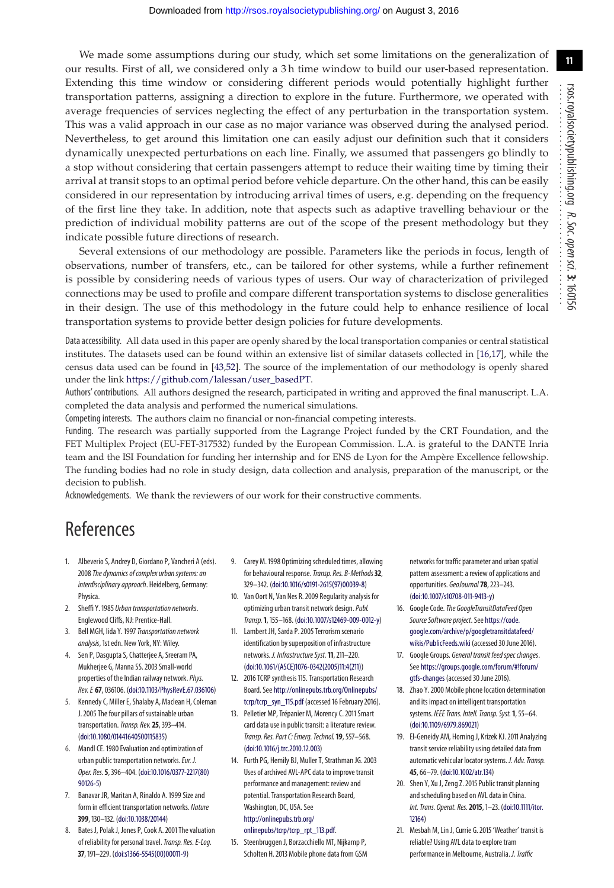We made some assumptions during our study, which set some limitations on the generalization of our results. First of all, we considered only a 3 h time window to build our user-based representation. Extending this time window or considering different periods would potentially highlight further transportation patterns, assigning a direction to explore in the future. Furthermore, we operated with average frequencies of services neglecting the effect of any perturbation in the transportation system. This was a valid approach in our case as no major variance was observed during the analysed period. Nevertheless, to get around this limitation one can easily adjust our definition such that it considers dynamically unexpected perturbations on each line. Finally, we assumed that passengers go blindly to a stop without considering that certain passengers attempt to reduce their waiting time by timing their arrival at transit stops to an optimal period before vehicle departure. On the other hand, this can be easily considered in our representation by introducing arrival times of users, e.g. depending on the frequency of the first line they take. In addition, note that aspects such as adaptive travelling behaviour or the prediction of individual mobility patterns are out of the scope of the present methodology but they indicate possible future directions of research.

Several extensions of our methodology are possible. Parameters like the periods in focus, length of observations, number of transfers, etc., can be tailored for other systems, while a further refinement is possible by considering needs of various types of users. Our way of characterization of privileged connections may be used to profile and compare different transportation systems to disclose generalities in their design. The use of this methodology in the future could help to enhance resilience of local transportation systems to provide better design policies for future developments.

Data accessibility. All data used in this paper are openly shared by the local transportation companies or central statistical institutes. The datasets used can be found within an extensive list of similar datasets collected in [\[16](#page-10-14)[,17\]](#page-10-15), while the census data used can be found in [\[43](#page-11-18)[,52\]](#page-11-22). The source of the implementation of our methodology is openly shared under the link [https://github.com/lalessan/user\\_basedPT.](https://github.com/lalessan/user_basedPT)

Authors' contributions. All authors designed the research, participated in writing and approved the final manuscript. L.A. completed the data analysis and performed the numerical simulations.

Competing interests. The authors claim no financial or non-financial competing interests.

Funding. The research was partially supported from the Lagrange Project funded by the CRT Foundation, and the FET Multiplex Project (EU-FET-317532) funded by the European Commission. L.A. is grateful to the DANTE Inria team and the ISI Foundation for funding her internship and for ENS de Lyon for the Ampère Excellence fellowship. The funding bodies had no role in study design, data collection and analysis, preparation of the manuscript, or the decision to publish.

Acknowledgements. We thank the reviewers of our work for their constructive comments.

## References

- <span id="page-10-0"></span>1. Albeverio S, Andrey D, Giordano P, Vancheri A (eds). 2008The dynamics of complex urban systems: an interdisciplinary approach. Heidelberg, Germany: Physica.
- <span id="page-10-1"></span>2. Sheffi Y. 1985 Urban transportation networks. Englewood Cliffs, NJ: Prentice-Hall.
- <span id="page-10-2"></span>3. Bell MGH, Iida Y. 1997 Transportation network analysis, 1st edn. New York, NY: Wiley.
- <span id="page-10-3"></span>4. Sen P, Dasgupta S, Chatterjee A, Sreeram PA, Mukherjee G, Manna SS. 2003 Small-world properties of the Indian railway network.Phys. Rev. E **67**, 036106. [\(doi:10.1103/PhysRevE.67.036106\)](http://dx.doi.org/doi:10.1103/PhysRevE.67.036106)
- <span id="page-10-4"></span>5. Kennedy C, Miller E, Shalaby A, Maclean H, Coleman J. 2005 The four pillars of sustainable urban transportation.Transp. Rev.**25**, 393–414. [\(doi:10.1080/01441640500115835\)](http://dx.doi.org/doi:10.1080/01441640500115835)
- <span id="page-10-5"></span>6. Mandl CE. 1980 Evaluation and optimization of urban public transportation networks. Eur. J. Oper. Res.**5**, 396–404. [\(doi:10.1016/0377-2217\(80\)](http://dx.doi.org/doi:10.1016/0377-2217(80)90126-5) [90126-5\)](http://dx.doi.org/doi:10.1016/0377-2217(80)90126-5)
- <span id="page-10-6"></span>7. Banavar JR, Maritan A, Rinaldo A. 1999 Size and form in efficient transportation networks. Nature **399**, 130–132. [\(doi:10.1038/20144\)](http://dx.doi.org/doi:10.1038/20144)
- <span id="page-10-7"></span>8. Bates J, Polak J, Jones P, Cook A. 2001 The valuation of reliability for personal travel. Transp. Res. E-Log. **37**, 191–229. [\(doi:s1366-5545\(00\)00011-9\)](http://dx.doi.org/doi:s1366-5545(00)00011-9)
- 9. Carey M. 1998 Optimizing scheduled times, allowing for behavioural response.Transp. Res. B-Methods**32**, 329–342. [\(doi:10.1016/s0191-2615\(97\)00039-8\)](http://dx.doi.org/doi:10.1016/s0191-2615(97)00039-8)
- <span id="page-10-8"></span>10. Van Oort N, Van Nes R. 2009 Regularity analysis for optimizing urban transit network design. Publ. Transp.**1**, 155–168. [\(doi:10.1007/s12469-009-0012-y\)](http://dx.doi.org/doi:10.1007/s12469-009-0012-y)
- <span id="page-10-9"></span>11. Lambert JH, Sarda P. 2005 Terrorism scenario identification by superposition of infrastructure networks. J. Infrastructure Syst.**11**, 211–220. [\(doi:10.1061/\(ASCE\)1076-0342\(2005\)11:4\(211\)\)](http://dx.doi.org/doi:10.1061/(ASCE)1076-0342(2005)11:4(211))
- <span id="page-10-10"></span>12. 2016 TCRP synthesis 115. Transportation Research Board. See [http://onlinepubs.trb.org/Onlinepubs/](http://onlinepubs.trb.org/Onlinepubs/tcrp/tcrp_syn_115.pdf) [tcrp/tcrp\\_syn\\_115.pdf](http://onlinepubs.trb.org/Onlinepubs/tcrp/tcrp_syn_115.pdf) (accessed 16 February 2016).
- <span id="page-10-11"></span>13. Pelletier MP, Trépanier M, Morency C. 2011 Smart card data use in public transit: a literature review. Transp. Res. Part C: Emerg. Technol.**19**, 557–568. [\(doi:10.1016/j.trc.2010.12.003\)](http://dx.doi.org/doi:10.1016/j.trc.2010.12.003)
- <span id="page-10-12"></span>14. Furth PG, Hemily BJ, Muller T, Strathman JG. 2003 Uses of archived AVL-APC data to improve transit performance and management: review and potential. Transportation Research Board, Washington, DC, USA. See [http://onlinepubs.trb.org/](http://onlinepubs.trb.org/onlinepubs/tcrp/tcrp_rpt_113.pdf) [onlinepubs/tcrp/tcrp\\_rpt\\_113.pdf.](http://onlinepubs.trb.org/onlinepubs/tcrp/tcrp_rpt_113.pdf)
- <span id="page-10-13"></span>15. Steenbruggen J, Borzacchiello MT, Nijkamp P, Scholten H. 2013 Mobile phone data from GSM

networks for traffic parameter and urban spatial pattern assessment: a review of applications and opportunities. GeoJournal **78**, 223–243. [\(doi:10.1007/s10708-011-9413-y\)](http://dx.doi.org/doi:10.1007/s10708-011-9413-y)

- <span id="page-10-14"></span>16. Google Code. The GoogleTransitDataFeed Open Source Software project. See [https://code.](https://code.google.com/archive/p/googletransitdatafeed/wikis/PublicFeeds.wiki) [google.com/archive/p/googletransitdatafeed/](https://code.google.com/archive/p/googletransitdatafeed/wikis/PublicFeeds.wiki) [wikis/PublicFeeds.wiki](https://code.google.com/archive/p/googletransitdatafeed/wikis/PublicFeeds.wiki) (accessed 30 June 2016).
- <span id="page-10-15"></span>17. Google Groups. General transit feed spec changes. See [https://groups.google.com/forum/#!forum/](https://groups.google.com/forum/#!forum/gtfs-changes) [gtfs-changes](https://groups.google.com/forum/#!forum/gtfs-changes) (accessed 30 June 2016).
- <span id="page-10-16"></span>18. Zhao Y. 2000 Mobile phone location determination and its impact on intelligent transportation systems. IEEE Trans. Intell. Transp. Syst.**1**, 55–64. [\(doi:10.1109/6979.869021\)](http://dx.doi.org/doi:10.1109/6979.869021)
- 19. El-Geneidy AM, Horning J, Krizek KJ. 2011 Analyzing transit service reliability using detailed data from automatic vehicular locator systems. J. Adv. Transp. **45**, 66–79. [\(doi:10.1002/atr.134\)](http://dx.doi.org/doi:10.1002/atr.134)
- 20. Shen Y, Xu J, Zeng Z. 2015 Public transit planning and scheduling based on AVL data in China. Int. Trans. Operat. Res.**2015**, 1–23. [\(doi:10.1111/itor.](http://dx.doi.org/doi:10.1111/itor.12164) [12164\)](http://dx.doi.org/doi:10.1111/itor.12164)
- 21. Mesbah M, Lin J, Currie G. 2015 'Weather' transit is reliable? Using AVL data to explore tram performance in Melbourne, Australia. J. Traffic